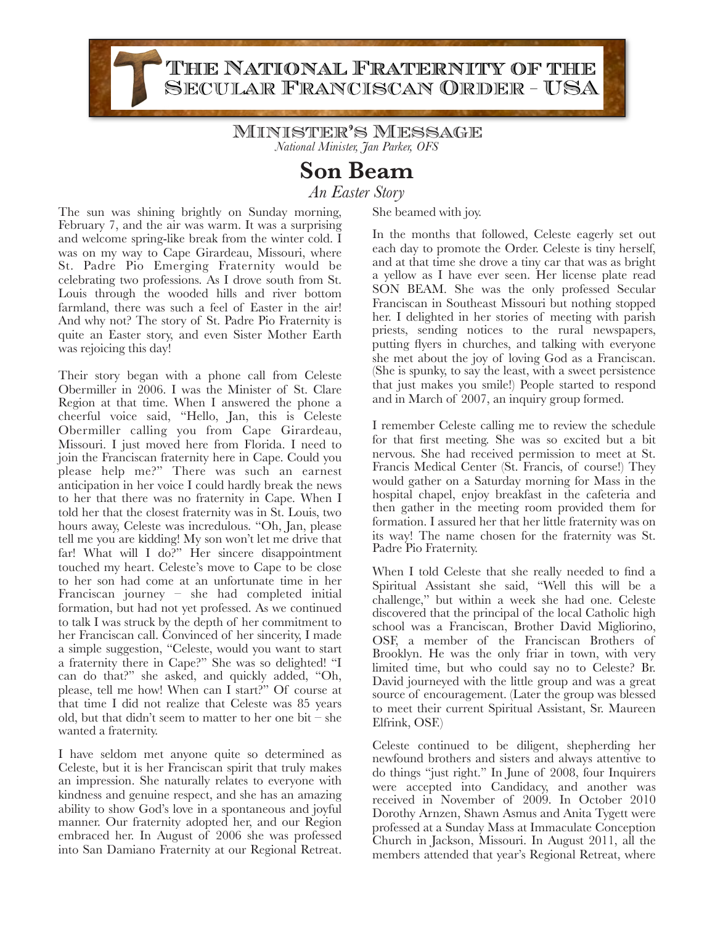THE NATIONAL FRATERNITY OF THE SECULAR FRANCISCAN ORDER - USA

> Minister's Message *National Minister, Jan Parker, OFS*

> > **Son Beam**

*An Easter Story*

The sun was shining brightly on Sunday morning, February 7, and the air was warm. It was a surprising and welcome spring-like break from the winter cold. I was on my way to Cape Girardeau, Missouri, where St. Padre Pio Emerging Fraternity would be celebrating two professions. As I drove south from St. Louis through the wooded hills and river bottom farmland, there was such a feel of Easter in the air! And why not? The story of St. Padre Pio Fraternity is quite an Easter story, and even Sister Mother Earth was rejoicing this day!

Their story began with a phone call from Celeste Obermiller in 2006. I was the Minister of St. Clare Region at that time. When I answered the phone a cheerful voice said, "Hello, Jan, this is Celeste Obermiller calling you from Cape Girardeau, Missouri. I just moved here from Florida. I need to join the Franciscan fraternity here in Cape. Could you please help me?" There was such an earnest anticipation in her voice I could hardly break the news to her that there was no fraternity in Cape. When I told her that the closest fraternity was in St. Louis, two hours away, Celeste was incredulous. "Oh, Jan, please tell me you are kidding! My son won't let me drive that far! What will I do?" Her sincere disappointment touched my heart. Celeste's move to Cape to be close to her son had come at an unfortunate time in her Franciscan journey – she had completed initial formation, but had not yet professed. As we continued to talk I was struck by the depth of her commitment to her Franciscan call. Convinced of her sincerity, I made a simple suggestion, "Celeste, would you want to start a fraternity there in Cape?" She was so delighted! "I can do that?" she asked, and quickly added, "Oh, please, tell me how! When can I start?" Of course at that time I did not realize that Celeste was 85 years old, but that didn't seem to matter to her one bit – she wanted a fraternity.

I have seldom met anyone quite so determined as Celeste, but it is her Franciscan spirit that truly makes an impression. She naturally relates to everyone with kindness and genuine respect, and she has an amazing ability to show God's love in a spontaneous and joyful manner. Our fraternity adopted her, and our Region embraced her. In August of 2006 she was professed into San Damiano Fraternity at our Regional Retreat. She beamed with joy.

In the months that followed, Celeste eagerly set out each day to promote the Order. Celeste is tiny herself, and at that time she drove a tiny car that was as bright a yellow as I have ever seen. Her license plate read SON BEAM. She was the only professed Secular Franciscan in Southeast Missouri but nothing stopped her. I delighted in her stories of meeting with parish priests, sending notices to the rural newspapers, putting flyers in churches, and talking with everyone she met about the joy of loving God as a Franciscan. (She is spunky, to say the least, with a sweet persistence that just makes you smile!) People started to respond and in March of 2007, an inquiry group formed.

I remember Celeste calling me to review the schedule for that first meeting. She was so excited but a bit nervous. She had received permission to meet at St. Francis Medical Center (St. Francis, of course!) They would gather on a Saturday morning for Mass in the hospital chapel, enjoy breakfast in the cafeteria and then gather in the meeting room provided them for formation. I assured her that her little fraternity was on its way! The name chosen for the fraternity was St. Padre Pio Fraternity.

When I told Celeste that she really needed to find a Spiritual Assistant she said, "Well this will be a challenge," but within a week she had one. Celeste discovered that the principal of the local Catholic high school was a Franciscan, Brother David Migliorino, OSF, a member of the Franciscan Brothers of Brooklyn. He was the only friar in town, with very limited time, but who could say no to Celeste? Br. David journeyed with the little group and was a great source of encouragement. (Later the group was blessed to meet their current Spiritual Assistant, Sr. Maureen Elfrink, OSF.)

Celeste continued to be diligent, shepherding her newfound brothers and sisters and always attentive to do things "just right." In June of 2008, four Inquirers were accepted into Candidacy, and another was received in November of 2009. In October 2010 Dorothy Arnzen, Shawn Asmus and Anita Tygett were professed at a Sunday Mass at Immaculate Conception Church in Jackson, Missouri. In August 2011, all the members attended that year's Regional Retreat, where